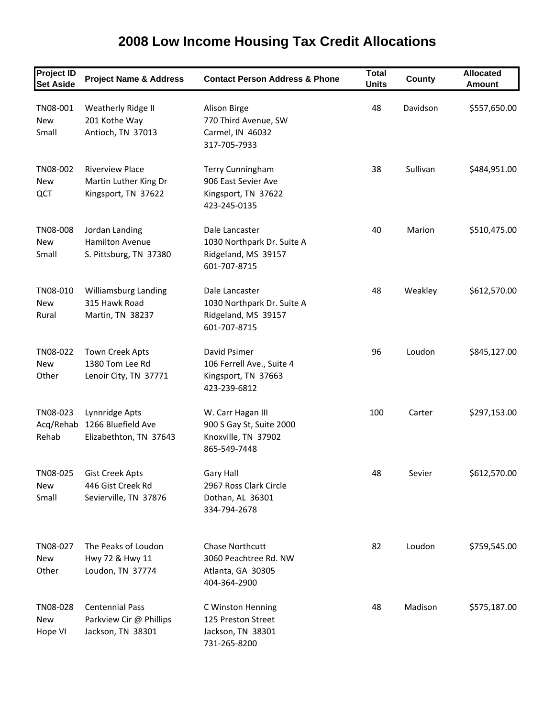| <b>Project ID</b><br><b>Set Aside</b> | <b>Project Name &amp; Address</b>                                      | <b>Contact Person Address &amp; Phone</b>                                             | <b>Total</b><br><b>Units</b> | County   | <b>Allocated</b><br><b>Amount</b> |
|---------------------------------------|------------------------------------------------------------------------|---------------------------------------------------------------------------------------|------------------------------|----------|-----------------------------------|
| TN08-001<br><b>New</b><br>Small       | Weatherly Ridge II<br>201 Kothe Way<br>Antioch, TN 37013               | Alison Birge<br>770 Third Avenue, SW<br>Carmel, IN 46032<br>317-705-7933              | 48                           | Davidson | \$557,650.00                      |
| TN08-002<br><b>New</b><br>QCT         | <b>Riverview Place</b><br>Martin Luther King Dr<br>Kingsport, TN 37622 | <b>Terry Cunningham</b><br>906 East Sevier Ave<br>Kingsport, TN 37622<br>423-245-0135 | 38                           | Sullivan | \$484,951.00                      |
| TN08-008<br>New<br>Small              | Jordan Landing<br><b>Hamilton Avenue</b><br>S. Pittsburg, TN 37380     | Dale Lancaster<br>1030 Northpark Dr. Suite A<br>Ridgeland, MS 39157<br>601-707-8715   | 40                           | Marion   | \$510,475.00                      |
| TN08-010<br><b>New</b><br>Rural       | Williamsburg Landing<br>315 Hawk Road<br>Martin, TN 38237              | Dale Lancaster<br>1030 Northpark Dr. Suite A<br>Ridgeland, MS 39157<br>601-707-8715   | 48                           | Weakley  | \$612,570.00                      |
| TN08-022<br><b>New</b><br>Other       | <b>Town Creek Apts</b><br>1380 Tom Lee Rd<br>Lenoir City, TN 37771     | David Psimer<br>106 Ferrell Ave., Suite 4<br>Kingsport, TN 37663<br>423-239-6812      | 96                           | Loudon   | \$845,127.00                      |
| TN08-023<br>Acq/Rehab<br>Rehab        | Lynnridge Apts<br>1266 Bluefield Ave<br>Elizabethton, TN 37643         | W. Carr Hagan III<br>900 S Gay St, Suite 2000<br>Knoxville, TN 37902<br>865-549-7448  | 100                          | Carter   | \$297,153.00                      |
| TN08-025<br><b>New</b><br>Small       | <b>Gist Creek Apts</b><br>446 Gist Creek Rd<br>Sevierville, TN 37876   | Gary Hall<br>2967 Ross Clark Circle<br>Dothan, AL 36301<br>334-794-2678               | 48                           | Sevier   | \$612,570.00                      |
| TN08-027<br>New<br>Other              | The Peaks of Loudon<br>Hwy 72 & Hwy 11<br>Loudon, TN 37774             | <b>Chase Northcutt</b><br>3060 Peachtree Rd. NW<br>Atlanta, GA 30305<br>404-364-2900  | 82                           | Loudon   | \$759,545.00                      |
| TN08-028<br><b>New</b><br>Hope VI     | <b>Centennial Pass</b><br>Parkview Cir @ Phillips<br>Jackson, TN 38301 | C Winston Henning<br>125 Preston Street<br>Jackson, TN 38301<br>731-265-8200          | 48                           | Madison  | \$575,187.00                      |

## **2008 Low Income Housing Tax Credit Allocations**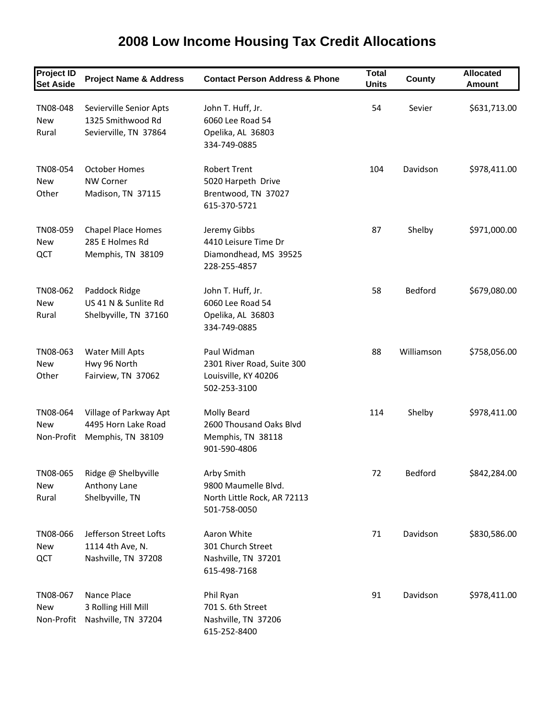#### **Project ID Set Aside Project Name & Address Contact Person Address & Phone Total Units County Allocated Amount** TN08-048 Sevierville Senior Apts John T. Huff, Jr. 54 Sevier \$631,713.00 New 1325 Smithwood Rd 6060 Lee Road 54 Rural Sevierville, TN 37864 Opelika, AL 36803 334‐749‐0885 TN08-054 October Homes Robert Trent 104 Davidson \$978,411.00 New NW Corner 5020 Harpeth Drive Other Madison, TN 37115 Brentwood, TN 37027 615‐370‐5721 TN08-059 Chapel Place Homes Jeremy Gibbs 87 Shelby \$971,000.00 New 285 E Holmes Rd 4410 Leisure Time Dr QCT Memphis, TN 38109 Diamondhead, MS 39525 228‐255‐4857 TN08‐062 Paddock Ridge John T. Huff, Jr. 58 Bedford \$679,080.00 New US 41 N & Sunlite Rd 6060 Lee Road 54 Rural Shelbyville, TN 37160 Opelika, AL 36803 334‐749‐0885 TN08-063 Water Mill Apts Paul Widman Paul Widman 88 Williamson \$758,056.00 New Hwy 96 North 2301 River Road, Suite 300 Other Fairview, TN 37062 Louisville, KY 40206 502‐253‐3100 TN08-064 Village of Parkway Apt Molly Beard 114 Shelby \$978,411.00 New 4495 Horn Lake Road 2600 Thousand Oaks Blvd Non‐Profit Memphis, TN 38109 Memphis, TN 38118 901‐590‐4806 TN08-065 Ridge @ Shelbyville Arby Smith Arbor 20 10 72 Bedford \$842,284.00 New Anthony Lane 9800 Maumelle Blvd. Rural Shelbyville, TN North Little Rock, AR 72113 501‐758‐0050 TN08-066 Jefferson Street Lofts Aaron White Aaron 21 Davidson \$830,586.00 New 1114 4th Ave, N. 301 Church Street QCT Nashville, TN 37208 Nashville, TN 37201 615‐498‐7168 TN08‐067 Nance Place Phil Ryan 91 Davidson \$978,411.00 New 3 Rolling Hill Mill 701 S. 6th Street Non‐Profit Nashville, TN 37204 Nashville, TN 37206

### **2008 Low Income Housing Tax Credit Allocations**

615‐252‐8400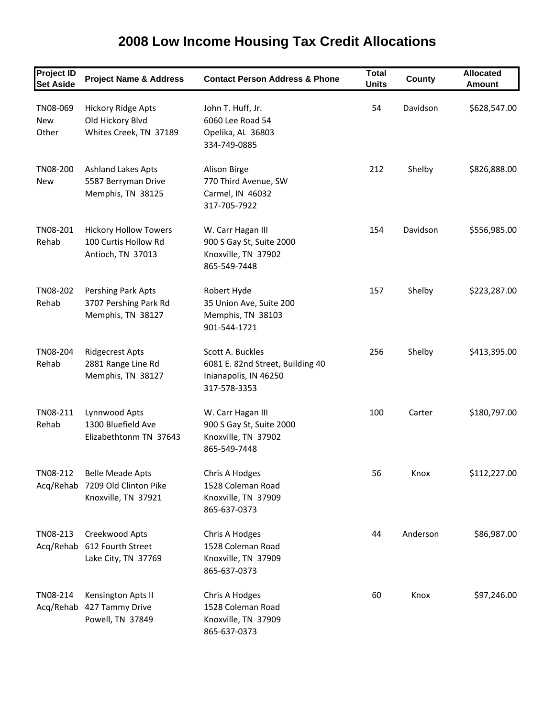| <b>Project ID</b><br><b>Set Aside</b> | <b>Project Name &amp; Address</b>                                         | <b>Contact Person Address &amp; Phone</b>                                                     | <b>Total</b><br><b>Units</b> | County   | <b>Allocated</b><br><b>Amount</b> |
|---------------------------------------|---------------------------------------------------------------------------|-----------------------------------------------------------------------------------------------|------------------------------|----------|-----------------------------------|
| TN08-069<br><b>New</b><br>Other       | <b>Hickory Ridge Apts</b><br>Old Hickory Blvd<br>Whites Creek, TN 37189   | John T. Huff, Jr.<br>6060 Lee Road 54<br>Opelika, AL 36803<br>334-749-0885                    | 54                           | Davidson | \$628,547.00                      |
| TN08-200<br><b>New</b>                | <b>Ashland Lakes Apts</b><br>5587 Berryman Drive<br>Memphis, TN 38125     | Alison Birge<br>770 Third Avenue, SW<br>Carmel, IN 46032<br>317-705-7922                      | 212                          | Shelby   | \$826,888.00                      |
| TN08-201<br>Rehab                     | <b>Hickory Hollow Towers</b><br>100 Curtis Hollow Rd<br>Antioch, TN 37013 | W. Carr Hagan III<br>900 S Gay St, Suite 2000<br>Knoxville, TN 37902<br>865-549-7448          | 154                          | Davidson | \$556,985.00                      |
| TN08-202<br>Rehab                     | Pershing Park Apts<br>3707 Pershing Park Rd<br>Memphis, TN 38127          | Robert Hyde<br>35 Union Ave, Suite 200<br>Memphis, TN 38103<br>901-544-1721                   | 157                          | Shelby   | \$223,287.00                      |
| TN08-204<br>Rehab                     | <b>Ridgecrest Apts</b><br>2881 Range Line Rd<br>Memphis, TN 38127         | Scott A. Buckles<br>6081 E. 82nd Street, Building 40<br>Inianapolis, IN 46250<br>317-578-3353 | 256                          | Shelby   | \$413,395.00                      |
| TN08-211<br>Rehab                     | Lynnwood Apts<br>1300 Bluefield Ave<br>Elizabethtonm TN 37643             | W. Carr Hagan III<br>900 S Gay St, Suite 2000<br>Knoxville, TN 37902<br>865-549-7448          | 100                          | Carter   | \$180,797.00                      |
| TN08-212<br>Acq/Rehab                 | <b>Belle Meade Apts</b><br>7209 Old Clinton Pike<br>Knoxville, TN 37921   | Chris A Hodges<br>1528 Coleman Road<br>Knoxville, TN 37909<br>865-637-0373                    | 56                           | Knox     | \$112,227.00                      |
| TN08-213<br>Acq/Rehab                 | Creekwood Apts<br>612 Fourth Street<br>Lake City, TN 37769                | Chris A Hodges<br>1528 Coleman Road<br>Knoxville, TN 37909<br>865-637-0373                    | 44                           | Anderson | \$86,987.00                       |
| TN08-214<br>Acq/Rehab                 | Kensington Apts II<br>427 Tammy Drive<br>Powell, TN 37849                 | Chris A Hodges<br>1528 Coleman Road<br>Knoxville, TN 37909<br>865-637-0373                    | 60                           | Knox     | \$97,246.00                       |

## **2008 Low Income Housing Tax Credit Allocations**